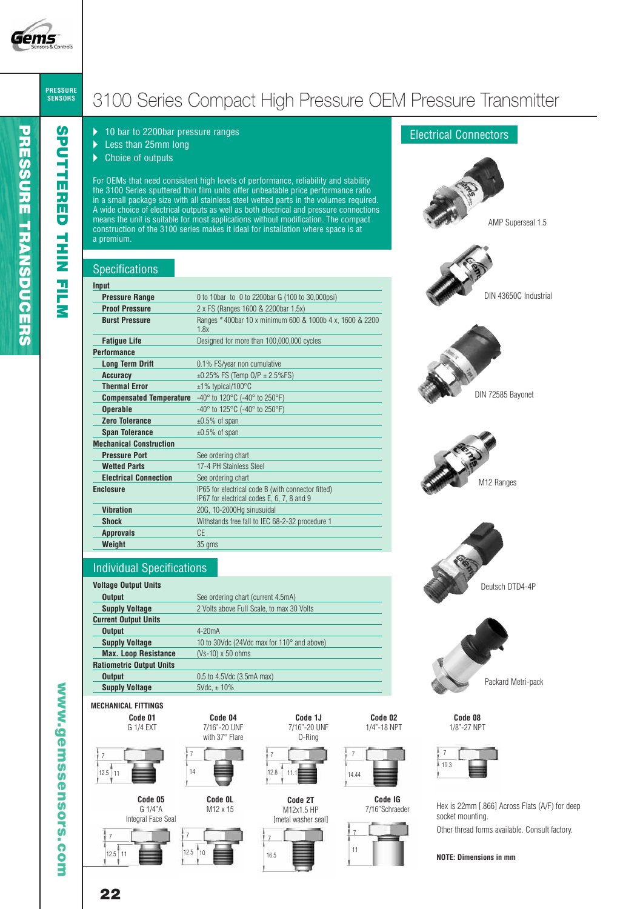

**S P U T T E R E D**

**T HIN**

> **FIL M**

## **PRESSURE SENSORS** 3100 Series Compact High Pressure OEM Pressure Transmitter

- ▶ 10 bar to 2200bar pressure ranges
- ▶ Less than 25mm long
- $\blacktriangleright$  Choice of outputs

For OEMs that need consistent high levels of performance, reliability and stability the 3100 Series sputtered thin film units offer unbeatable price performance ratio in a small package size with all stainless steel wetted parts in the volumes required. A wide choice of electrical outputs as well as both electrical and pressure connections means the unit is suitable for most applications without modification. The compact construction of the 3100 series makes it ideal for installation where space is at a premium.

# **Specifications**

| Input                                                                                                 |                                                                                                  |
|-------------------------------------------------------------------------------------------------------|--------------------------------------------------------------------------------------------------|
| <b>Pressure Range</b>                                                                                 | 0 to 10bar to 0 to 2200bar G (100 to 30,000psi)                                                  |
| <b>Proof Pressure</b>                                                                                 | 2 x FS (Ranges 1600 & 2200bar 1.5x)                                                              |
| <b>Burst Pressure</b>                                                                                 | Ranges "400bar 10 x minimum 600 & 1000b 4 x, 1600 & 2200<br>18x                                  |
| <b>Fatigue Life</b>                                                                                   | Designed for more than 100,000,000 cycles                                                        |
| <b>Performance</b>                                                                                    |                                                                                                  |
| <b>Long Term Drift</b>                                                                                | 0.1% FS/year non cumulative                                                                      |
| <b>Accuracy</b>                                                                                       | $\pm 0.25\%$ FS (Temp O/P $\pm 2.5\%$ FS)                                                        |
| <b>Thermal Error</b>                                                                                  | $±1\%$ typical/100 $°C$                                                                          |
| <b>Compensated Temperature</b> $-40^{\circ}$ to 120 $^{\circ}$ C ( $-40^{\circ}$ to 250 $^{\circ}$ F) |                                                                                                  |
| <b>Operable</b>                                                                                       | $-40^{\circ}$ to 125 $^{\circ}$ C (-40 $^{\circ}$ to 250 $^{\circ}$ F)                           |
| <b>Zero Tolerance</b>                                                                                 | $\pm 0.5\%$ of span                                                                              |
| <b>Span Tolerance</b>                                                                                 | $\pm 0.5\%$ of span                                                                              |
| <b>Mechanical Construction</b>                                                                        |                                                                                                  |
| <b>Pressure Port</b>                                                                                  | See ordering chart                                                                               |
| <b>Wetted Parts</b>                                                                                   | 17-4 PH Stainless Steel                                                                          |
| <b>Electrical Connection</b>                                                                          | See ordering chart                                                                               |
| <b>Enclosure</b>                                                                                      | IP65 for electrical code B (with connector fitted)<br>IP67 for electrical codes E, 6, 7, 8 and 9 |
| <b>Vibration</b>                                                                                      | 20G, 10-2000Hg sinusuidal                                                                        |
| Shock                                                                                                 | Withstands free fall to IEC 68-2-32 procedure 1                                                  |
| <b>Approvals</b>                                                                                      | CE                                                                                               |
| Weight                                                                                                | 35 gms                                                                                           |

## Individual Specifications

#### **Voltage Output Units Output** See ordering chart (current 4.5mA) **Supply Voltage** 2 Volts above Full Scale, to max 30 Volts **Current Output Units Output** 4-20mA **Supply Voltage** 10 to 30Vdc (24Vdc max for 110° and above) **Max. Loop Resistance** (Vs-10) x 50 ohms **Ratiometric Output Units Output** 0.5 to 4.5Vdc (3.5mA max) **Supply Voltage** 5Vdc,  $\pm$  10%

**Code 04**  7/16"-20 UNF with 37° Flare

**Code 0L**  M12 x 15

## **MECHANICAL FITTINGS**





**Code 05**  G 1/4"A Integral Face Seal







**Code 2T**  M12x1.5 HP







**Code IG**  7/16"Schraeder



# Electrical Connectors



Hex is 22mm [.866] Across Flats (A/F) for deep socket mounting.

Other thread forms available. Consult factory.

**w w w.g e m s s e n s o r s.c o**

**m**

**22**